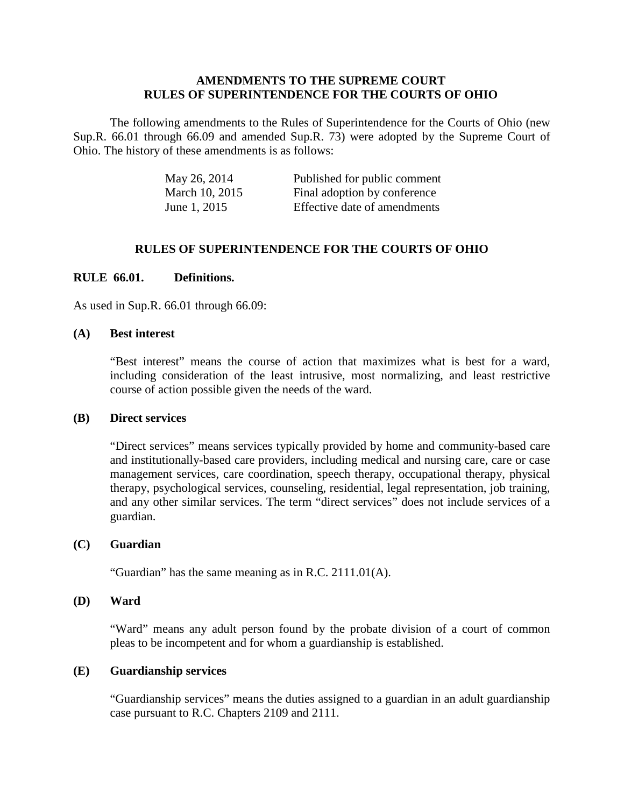#### **AMENDMENTS TO THE SUPREME COURT RULES OF SUPERINTENDENCE FOR THE COURTS OF OHIO**

The following amendments to the Rules of Superintendence for the Courts of Ohio (new Sup.R. 66.01 through 66.09 and amended Sup.R. 73) were adopted by the Supreme Court of Ohio. The history of these amendments is as follows:

| May 26, 2014   | Published for public comment |
|----------------|------------------------------|
| March 10, 2015 | Final adoption by conference |
| June 1, 2015   | Effective date of amendments |

#### **RULES OF SUPERINTENDENCE FOR THE COURTS OF OHIO**

#### **RULE 66.01. Definitions.**

As used in Sup.R. 66.01 through 66.09:

#### **(A) Best interest**

"Best interest" means the course of action that maximizes what is best for a ward, including consideration of the least intrusive, most normalizing, and least restrictive course of action possible given the needs of the ward.

#### **(B) Direct services**

"Direct services" means services typically provided by home and community-based care and institutionally-based care providers, including medical and nursing care, care or case management services, care coordination, speech therapy, occupational therapy, physical therapy, psychological services, counseling, residential, legal representation, job training, and any other similar services. The term "direct services" does not include services of a guardian.

#### **(C) Guardian**

"Guardian" has the same meaning as in R.C. 2111.01(A).

#### **(D) Ward**

"Ward" means any adult person found by the probate division of a court of common pleas to be incompetent and for whom a guardianship is established.

#### **(E) Guardianship services**

"Guardianship services" means the duties assigned to a guardian in an adult guardianship case pursuant to R.C. Chapters 2109 and 2111.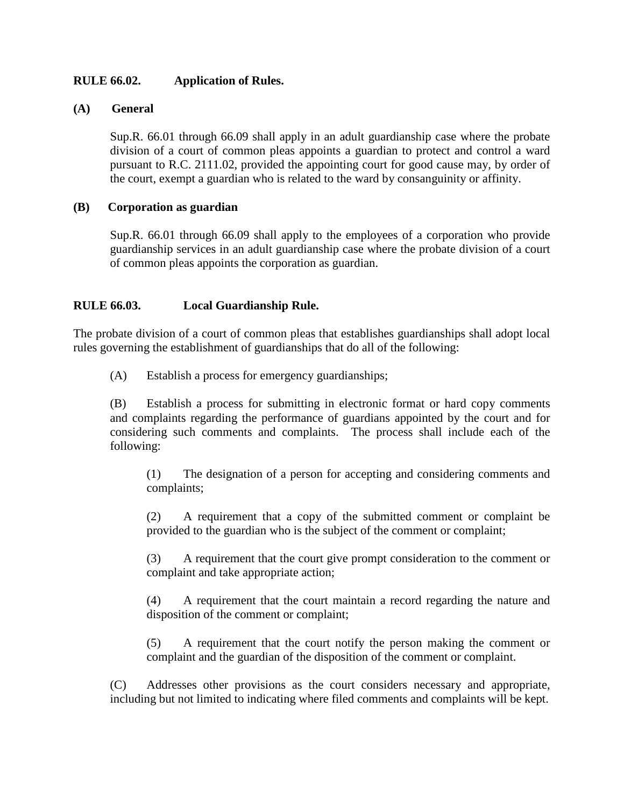# **RULE 66.02. Application of Rules.**

### **(A) General**

Sup.R. 66.01 through 66.09 shall apply in an adult guardianship case where the probate division of a court of common pleas appoints a guardian to protect and control a ward pursuant to R.C. 2111.02, provided the appointing court for good cause may, by order of the court, exempt a guardian who is related to the ward by consanguinity or affinity.

### **(B) Corporation as guardian**

Sup.R. 66.01 through 66.09 shall apply to the employees of a corporation who provide guardianship services in an adult guardianship case where the probate division of a court of common pleas appoints the corporation as guardian.

# **RULE 66.03. Local Guardianship Rule.**

The probate division of a court of common pleas that establishes guardianships shall adopt local rules governing the establishment of guardianships that do all of the following:

(A) Establish a process for emergency guardianships;

(B) Establish a process for submitting in electronic format or hard copy comments and complaints regarding the performance of guardians appointed by the court and for considering such comments and complaints. The process shall include each of the following:

(1) The designation of a person for accepting and considering comments and complaints;

(2) A requirement that a copy of the submitted comment or complaint be provided to the guardian who is the subject of the comment or complaint;

(3) A requirement that the court give prompt consideration to the comment or complaint and take appropriate action;

(4) A requirement that the court maintain a record regarding the nature and disposition of the comment or complaint;

(5) A requirement that the court notify the person making the comment or complaint and the guardian of the disposition of the comment or complaint.

(C) Addresses other provisions as the court considers necessary and appropriate, including but not limited to indicating where filed comments and complaints will be kept.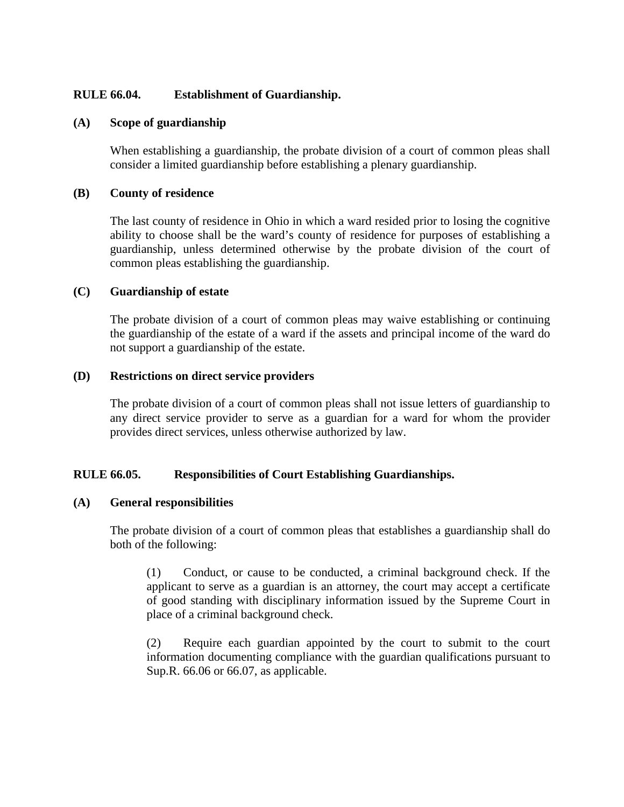# **RULE 66.04. Establishment of Guardianship.**

#### **(A) Scope of guardianship**

When establishing a guardianship, the probate division of a court of common pleas shall consider a limited guardianship before establishing a plenary guardianship.

#### **(B) County of residence**

The last county of residence in Ohio in which a ward resided prior to losing the cognitive ability to choose shall be the ward's county of residence for purposes of establishing a guardianship, unless determined otherwise by the probate division of the court of common pleas establishing the guardianship.

#### **(C) Guardianship of estate**

The probate division of a court of common pleas may waive establishing or continuing the guardianship of the estate of a ward if the assets and principal income of the ward do not support a guardianship of the estate.

#### **(D) Restrictions on direct service providers**

The probate division of a court of common pleas shall not issue letters of guardianship to any direct service provider to serve as a guardian for a ward for whom the provider provides direct services, unless otherwise authorized by law.

#### **RULE 66.05. Responsibilities of Court Establishing Guardianships.**

#### **(A) General responsibilities**

The probate division of a court of common pleas that establishes a guardianship shall do both of the following:

(1) Conduct, or cause to be conducted, a criminal background check. If the applicant to serve as a guardian is an attorney, the court may accept a certificate of good standing with disciplinary information issued by the Supreme Court in place of a criminal background check.

(2) Require each guardian appointed by the court to submit to the court information documenting compliance with the guardian qualifications pursuant to Sup.R. 66.06 or 66.07, as applicable.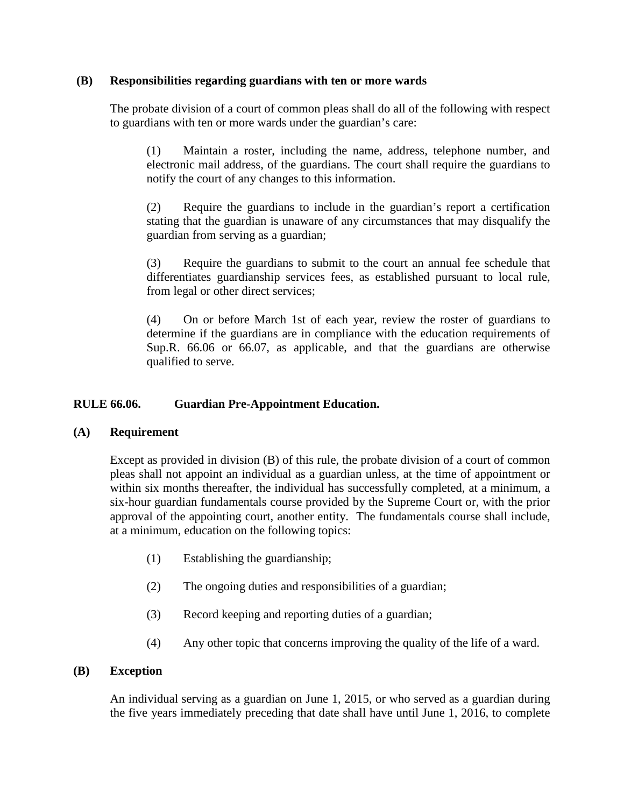### **(B) Responsibilities regarding guardians with ten or more wards**

The probate division of a court of common pleas shall do all of the following with respect to guardians with ten or more wards under the guardian's care:

(1) Maintain a roster, including the name, address, telephone number, and electronic mail address, of the guardians. The court shall require the guardians to notify the court of any changes to this information.

(2) Require the guardians to include in the guardian's report a certification stating that the guardian is unaware of any circumstances that may disqualify the guardian from serving as a guardian;

(3) Require the guardians to submit to the court an annual fee schedule that differentiates guardianship services fees, as established pursuant to local rule, from legal or other direct services;

(4) On or before March 1st of each year, review the roster of guardians to determine if the guardians are in compliance with the education requirements of Sup.R. 66.06 or 66.07, as applicable, and that the guardians are otherwise qualified to serve.

# **RULE 66.06. Guardian Pre-Appointment Education.**

# **(A) Requirement**

Except as provided in division (B) of this rule, the probate division of a court of common pleas shall not appoint an individual as a guardian unless, at the time of appointment or within six months thereafter, the individual has successfully completed, at a minimum, a six-hour guardian fundamentals course provided by the Supreme Court or, with the prior approval of the appointing court, another entity. The fundamentals course shall include, at a minimum, education on the following topics:

- (1) Establishing the guardianship;
- (2) The ongoing duties and responsibilities of a guardian;
- (3) Record keeping and reporting duties of a guardian;
- (4) Any other topic that concerns improving the quality of the life of a ward.

# **(B) Exception**

An individual serving as a guardian on June 1, 2015, or who served as a guardian during the five years immediately preceding that date shall have until June 1, 2016, to complete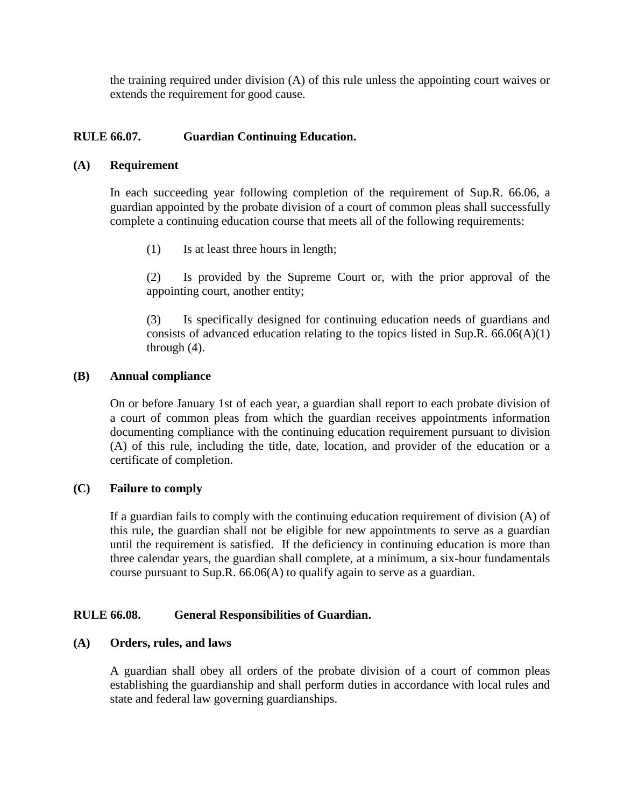the training required under division (A) of this rule unless the appointing court waives or extends the requirement for good cause.

# **RULE 66.07. Guardian Continuing Education.**

#### **(A) Requirement**

In each succeeding year following completion of the requirement of Sup.R. 66.06, a guardian appointed by the probate division of a court of common pleas shall successfully complete a continuing education course that meets all of the following requirements:

(1) Is at least three hours in length;

(2) Is provided by the Supreme Court or, with the prior approval of the appointing court, another entity;

(3) Is specifically designed for continuing education needs of guardians and consists of advanced education relating to the topics listed in Sup.R.  $66.06(A)(1)$ through (4).

#### **(B) Annual compliance**

On or before January 1st of each year, a guardian shall report to each probate division of a court of common pleas from which the guardian receives appointments information documenting compliance with the continuing education requirement pursuant to division (A) of this rule, including the title, date, location, and provider of the education or a certificate of completion.

#### **(C) Failure to comply**

If a guardian fails to comply with the continuing education requirement of division (A) of this rule, the guardian shall not be eligible for new appointments to serve as a guardian until the requirement is satisfied. If the deficiency in continuing education is more than three calendar years, the guardian shall complete, at a minimum, a six-hour fundamentals course pursuant to Sup.R. 66.06(A) to qualify again to serve as a guardian.

#### **RULE 66.08. General Responsibilities of Guardian.**

#### **(A) Orders, rules, and laws**

A guardian shall obey all orders of the probate division of a court of common pleas establishing the guardianship and shall perform duties in accordance with local rules and state and federal law governing guardianships.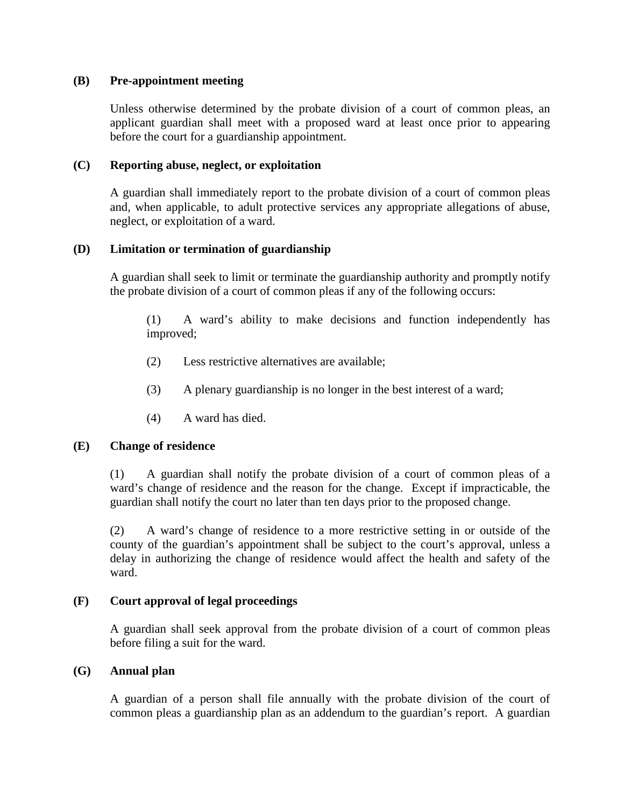### **(B) Pre-appointment meeting**

Unless otherwise determined by the probate division of a court of common pleas, an applicant guardian shall meet with a proposed ward at least once prior to appearing before the court for a guardianship appointment.

### **(C) Reporting abuse, neglect, or exploitation**

A guardian shall immediately report to the probate division of a court of common pleas and, when applicable, to adult protective services any appropriate allegations of abuse, neglect, or exploitation of a ward.

# **(D) Limitation or termination of guardianship**

A guardian shall seek to limit or terminate the guardianship authority and promptly notify the probate division of a court of common pleas if any of the following occurs:

(1) A ward's ability to make decisions and function independently has improved;

- (2) Less restrictive alternatives are available;
- (3) A plenary guardianship is no longer in the best interest of a ward;
- (4) A ward has died.

#### **(E) Change of residence**

(1) A guardian shall notify the probate division of a court of common pleas of a ward's change of residence and the reason for the change. Except if impracticable, the guardian shall notify the court no later than ten days prior to the proposed change.

(2) A ward's change of residence to a more restrictive setting in or outside of the county of the guardian's appointment shall be subject to the court's approval, unless a delay in authorizing the change of residence would affect the health and safety of the ward.

#### **(F) Court approval of legal proceedings**

A guardian shall seek approval from the probate division of a court of common pleas before filing a suit for the ward.

#### **(G) Annual plan**

A guardian of a person shall file annually with the probate division of the court of common pleas a guardianship plan as an addendum to the guardian's report. A guardian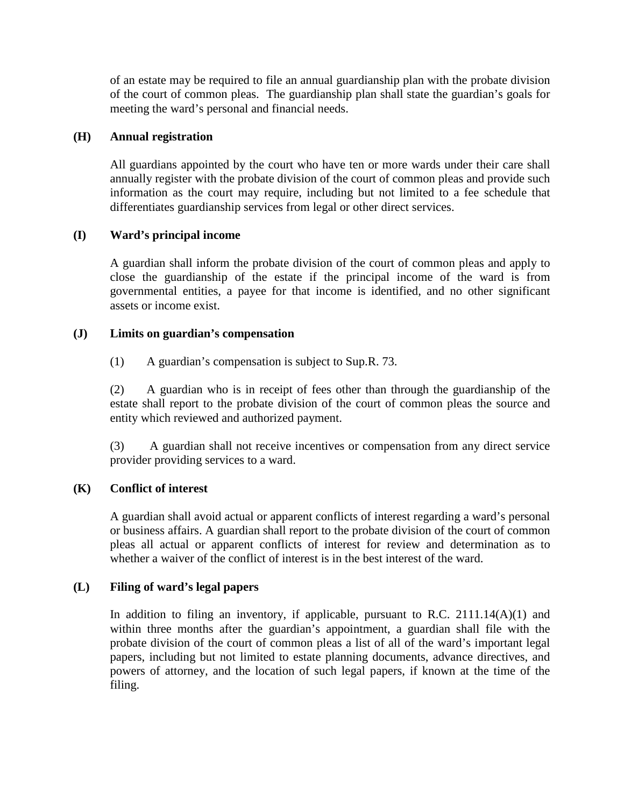of an estate may be required to file an annual guardianship plan with the probate division of the court of common pleas. The guardianship plan shall state the guardian's goals for meeting the ward's personal and financial needs.

# **(H) Annual registration**

All guardians appointed by the court who have ten or more wards under their care shall annually register with the probate division of the court of common pleas and provide such information as the court may require, including but not limited to a fee schedule that differentiates guardianship services from legal or other direct services.

# **(I) Ward's principal income**

A guardian shall inform the probate division of the court of common pleas and apply to close the guardianship of the estate if the principal income of the ward is from governmental entities, a payee for that income is identified, and no other significant assets or income exist.

# **(J) Limits on guardian's compensation**

(1) A guardian's compensation is subject to Sup.R. 73.

(2) A guardian who is in receipt of fees other than through the guardianship of the estate shall report to the probate division of the court of common pleas the source and entity which reviewed and authorized payment.

(3) A guardian shall not receive incentives or compensation from any direct service provider providing services to a ward.

# **(K) Conflict of interest**

A guardian shall avoid actual or apparent conflicts of interest regarding a ward's personal or business affairs. A guardian shall report to the probate division of the court of common pleas all actual or apparent conflicts of interest for review and determination as to whether a waiver of the conflict of interest is in the best interest of the ward.

#### **(L) Filing of ward's legal papers**

In addition to filing an inventory, if applicable, pursuant to R.C.  $2111.14(A)(1)$  and within three months after the guardian's appointment, a guardian shall file with the probate division of the court of common pleas a list of all of the ward's important legal papers, including but not limited to estate planning documents, advance directives, and powers of attorney, and the location of such legal papers, if known at the time of the filing.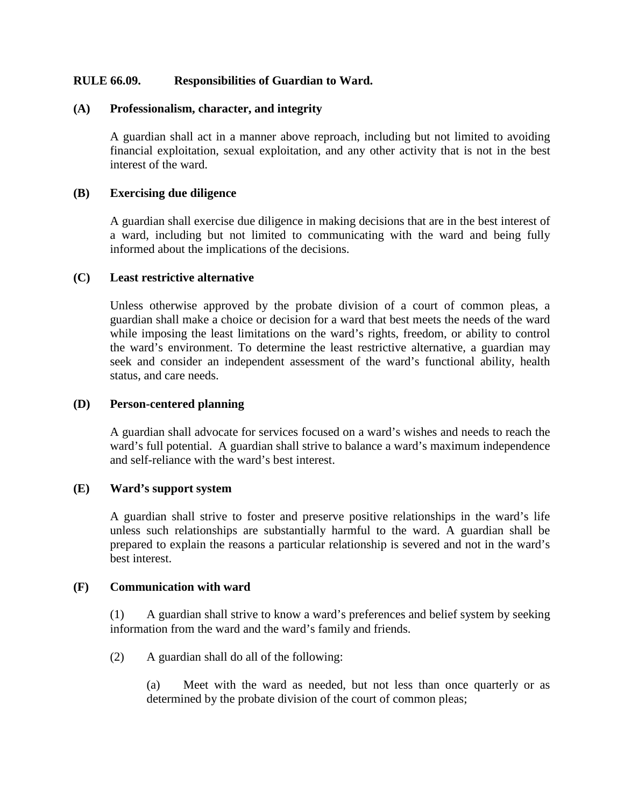# **RULE 66.09. Responsibilities of Guardian to Ward.**

#### **(A) Professionalism, character, and integrity**

A guardian shall act in a manner above reproach, including but not limited to avoiding financial exploitation, sexual exploitation, and any other activity that is not in the best interest of the ward.

### **(B) Exercising due diligence**

A guardian shall exercise due diligence in making decisions that are in the best interest of a ward, including but not limited to communicating with the ward and being fully informed about the implications of the decisions.

#### **(C) Least restrictive alternative**

Unless otherwise approved by the probate division of a court of common pleas, a guardian shall make a choice or decision for a ward that best meets the needs of the ward while imposing the least limitations on the ward's rights, freedom, or ability to control the ward's environment. To determine the least restrictive alternative, a guardian may seek and consider an independent assessment of the ward's functional ability, health status, and care needs.

#### **(D) Person-centered planning**

A guardian shall advocate for services focused on a ward's wishes and needs to reach the ward's full potential. A guardian shall strive to balance a ward's maximum independence and self-reliance with the ward's best interest.

#### **(E) Ward's support system**

A guardian shall strive to foster and preserve positive relationships in the ward's life unless such relationships are substantially harmful to the ward. A guardian shall be prepared to explain the reasons a particular relationship is severed and not in the ward's best interest.

#### **(F) Communication with ward**

(1) A guardian shall strive to know a ward's preferences and belief system by seeking information from the ward and the ward's family and friends.

(2) A guardian shall do all of the following:

(a) Meet with the ward as needed, but not less than once quarterly or as determined by the probate division of the court of common pleas;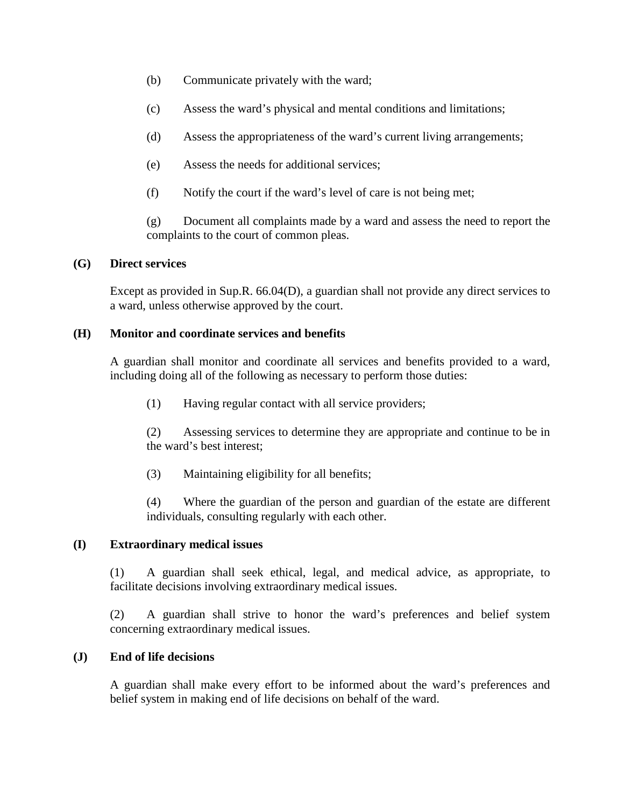- (b) Communicate privately with the ward;
- (c) Assess the ward's physical and mental conditions and limitations;
- (d) Assess the appropriateness of the ward's current living arrangements;
- (e) Assess the needs for additional services;
- (f) Notify the court if the ward's level of care is not being met;

(g) Document all complaints made by a ward and assess the need to report the complaints to the court of common pleas.

# **(G) Direct services**

Except as provided in Sup.R. 66.04(D), a guardian shall not provide any direct services to a ward, unless otherwise approved by the court.

# **(H) Monitor and coordinate services and benefits**

A guardian shall monitor and coordinate all services and benefits provided to a ward, including doing all of the following as necessary to perform those duties:

(1) Having regular contact with all service providers;

(2) Assessing services to determine they are appropriate and continue to be in the ward's best interest;

(3) Maintaining eligibility for all benefits;

(4) Where the guardian of the person and guardian of the estate are different individuals, consulting regularly with each other.

# **(I) Extraordinary medical issues**

(1) A guardian shall seek ethical, legal, and medical advice, as appropriate, to facilitate decisions involving extraordinary medical issues.

(2) A guardian shall strive to honor the ward's preferences and belief system concerning extraordinary medical issues.

# **(J) End of life decisions**

A guardian shall make every effort to be informed about the ward's preferences and belief system in making end of life decisions on behalf of the ward.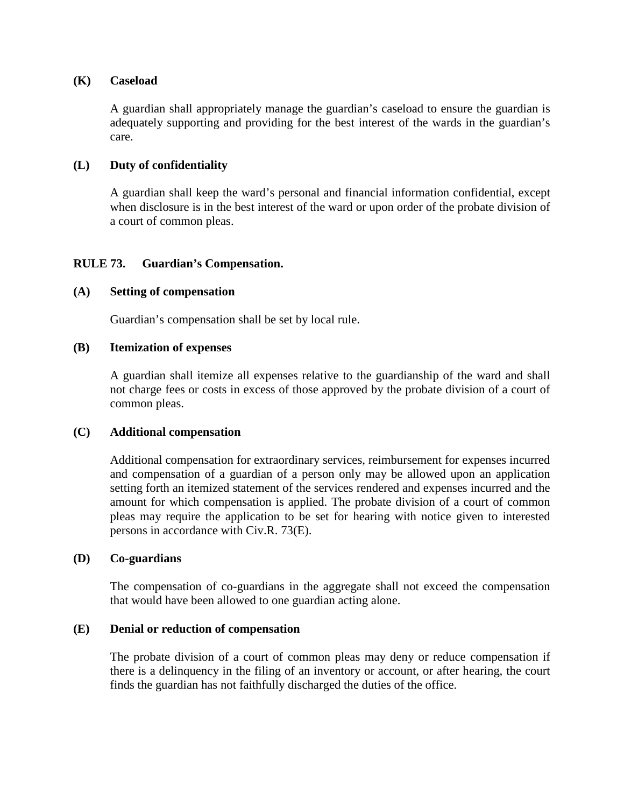#### **(K) Caseload**

A guardian shall appropriately manage the guardian's caseload to ensure the guardian is adequately supporting and providing for the best interest of the wards in the guardian's care.

### **(L) Duty of confidentiality**

A guardian shall keep the ward's personal and financial information confidential, except when disclosure is in the best interest of the ward or upon order of the probate division of a court of common pleas.

# **RULE 73. Guardian's Compensation.**

#### **(A) Setting of compensation**

Guardian's compensation shall be set by local rule.

#### **(B) Itemization of expenses**

A guardian shall itemize all expenses relative to the guardianship of the ward and shall not charge fees or costs in excess of those approved by the probate division of a court of common pleas.

#### **(C) Additional compensation**

Additional compensation for extraordinary services, reimbursement for expenses incurred and compensation of a guardian of a person only may be allowed upon an application setting forth an itemized statement of the services rendered and expenses incurred and the amount for which compensation is applied. The probate division of a court of common pleas may require the application to be set for hearing with notice given to interested persons in accordance with Civ.R. 73(E).

#### **(D) Co-guardians**

The compensation of co-guardians in the aggregate shall not exceed the compensation that would have been allowed to one guardian acting alone.

#### **(E) Denial or reduction of compensation**

The probate division of a court of common pleas may deny or reduce compensation if there is a delinquency in the filing of an inventory or account, or after hearing, the court finds the guardian has not faithfully discharged the duties of the office.